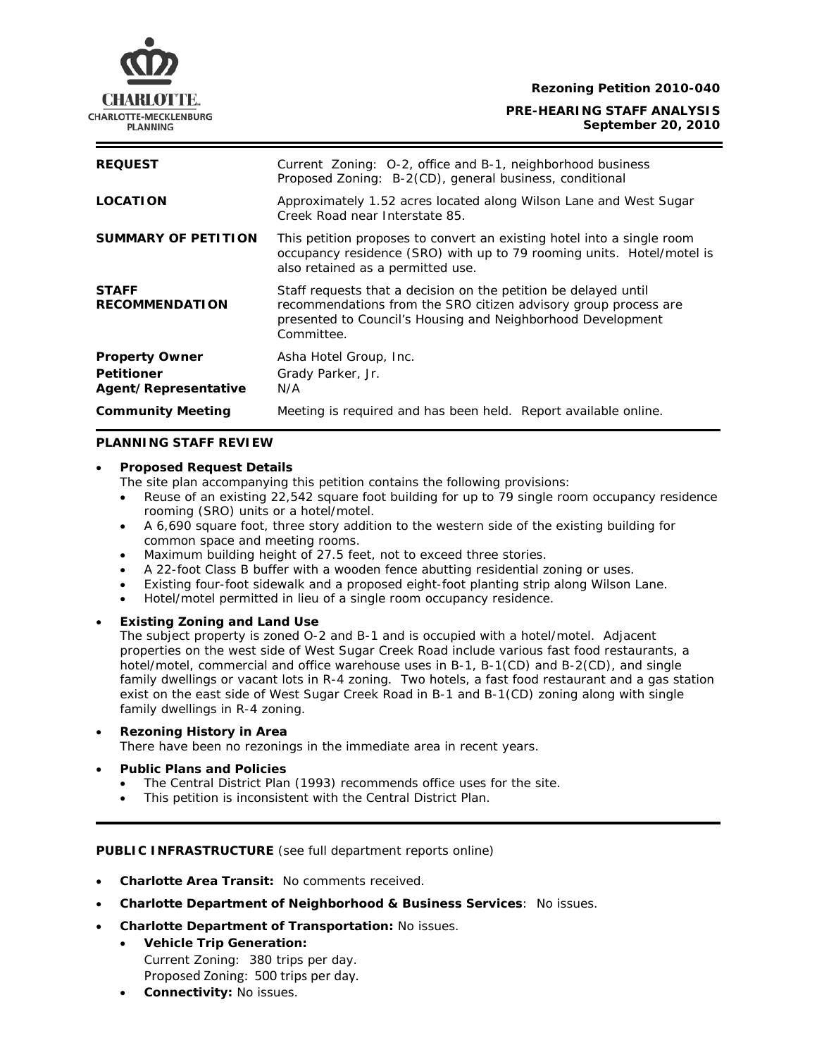**Rezoning Petition 2010-040** 



**PRE-HEARING STAFF ANALYSIS September 20, 2010**

| <b>REQUEST</b>                                                     | Current Zoning: O-2, office and B-1, neighborhood business<br>Proposed Zoning: B-2(CD), general business, conditional                                                                                           |
|--------------------------------------------------------------------|-----------------------------------------------------------------------------------------------------------------------------------------------------------------------------------------------------------------|
| <b>LOCATION</b>                                                    | Approximately 1.52 acres located along Wilson Lane and West Sugar<br>Creek Road near Interstate 85.                                                                                                             |
| <b>SUMMARY OF PETITION</b>                                         | This petition proposes to convert an existing hotel into a single room<br>occupancy residence (SRO) with up to 79 rooming units. Hotel/motel is<br>also retained as a permitted use.                            |
| <b>STAFF</b><br><b>RECOMMENDATION</b>                              | Staff requests that a decision on the petition be delayed until<br>recommendations from the SRO citizen advisory group process are<br>presented to Council's Housing and Neighborhood Development<br>Committee. |
| <b>Property Owner</b><br><b>Petitioner</b><br>Agent/Representative | Asha Hotel Group, Inc.<br>Grady Parker, Jr.<br>N/A                                                                                                                                                              |
| <b>Community Meeting</b>                                           | Meeting is required and has been held. Report available online.                                                                                                                                                 |

## **PLANNING STAFF REVIEW**

### • **Proposed Request Details**

The site plan accompanying this petition contains the following provisions:

- Reuse of an existing 22,542 square foot building for up to 79 single room occupancy residence rooming (SRO) units or a hotel/motel.
- A 6,690 square foot, three story addition to the western side of the existing building for common space and meeting rooms.
- Maximum building height of 27.5 feet, not to exceed three stories.
- A 22-foot Class B buffer with a wooden fence abutting residential zoning or uses.
- Existing four-foot sidewalk and a proposed eight-foot planting strip along Wilson Lane.
- Hotel/motel permitted in lieu of a single room occupancy residence.

# • **Existing Zoning and Land Use**

The subject property is zoned O-2 and B-1 and is occupied with a hotel/motel. Adjacent properties on the west side of West Sugar Creek Road include various fast food restaurants, a family dwellings or vacant lots in R-4 zoning. Two hotels, a fast food restaurant and a gas station hotel/motel, commercial and office warehouse uses in B-1, B-1(CD) and B-2(CD), and single exist on the east side of West Sugar Creek Road in B-1 and B-1(CD) zoning along with single family dwellings in R-4 zoning.

#### • **Rezoning History in Area**

There have been no rezonings in the immediate area in recent years.

- **Public Plans and Policies**
	- The *Central District Plan* (1993) recommends office uses for the site.
	- This petition is inconsistent with the *Central District Plan.*

# **PUBLIC INFRASTRUCTURE** (see full department reports online)

- **Charlotte Area Transit:** No comments received.
- **Charlotte Department of Neighborhood & Business Services: No issues.**
- **Charlotte Department of Transportation: No issues.** 
	- **Vehicle Trip Generation:** Current Zoning: 380 trips per day. Proposed Zoning: 500 trips per day.
	- **Connectivity:** No issues.